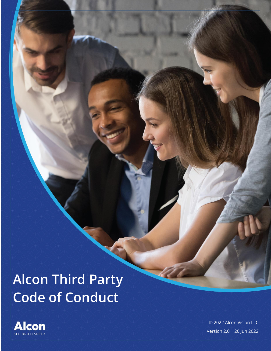# **Alcon Third Party Code of Conduct**



© 2022 Alcon Vision LLC Version 2.0 | 20 Jun 2022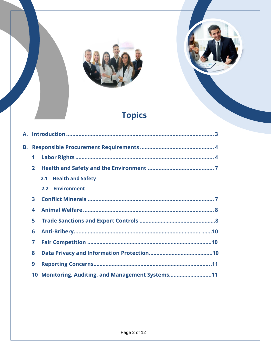



# **Topics**

| В. |                |                                                   |  |
|----|----------------|---------------------------------------------------|--|
|    | 1              |                                                   |  |
|    | $\overline{2}$ |                                                   |  |
|    |                | 2.1 Health and Safety                             |  |
|    |                | 2.2 Environment                                   |  |
|    | 3              |                                                   |  |
|    | 4              |                                                   |  |
|    | 5              |                                                   |  |
|    | 6              |                                                   |  |
|    | 7              |                                                   |  |
|    | 8              |                                                   |  |
|    | 9              |                                                   |  |
|    |                | 10 Monitoring, Auditing, and Management Systems11 |  |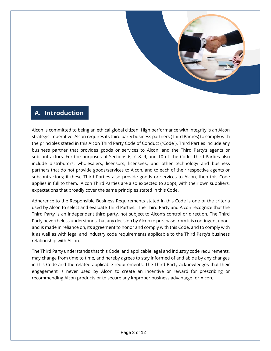

## <span id="page-2-0"></span>**A. Introduction**

Alcon is committed to being an ethical global citizen. High performance with integrity is an Alcon strategic imperative. Alcon requires its third party business partners (Third Parties) to comply with the principles stated in this Alcon Third Party Code of Conduct ("Code"). Third Parties include any business partner that provides goods or services to Alcon, and the Third Party's agents or subcontractors. For the purposes of Sections 6, 7, 8, 9, and 10 of The Code, Third Parties also include distributors, wholesalers, licensors, licensees, and other technology and business partners that do not provide goods/services to Alcon, and to each of their respective agents or subcontractors; if these Third Parties also provide goods or services to Alcon, then this Code applies in full to them. Alcon Third Parties are also expected to adopt, with their own suppliers, expectations that broadly cover the same principles stated in this Code.

Adherence to the Responsible Business Requirements stated in this Code is one of the criteria used by Alcon to select and evaluate Third Parties. The Third Party and Alcon recognize that the Third Party is an independent third party, not subject to Alcon's control or direction. The Third Party nevertheless understands that any decision by Alcon to purchase from it is contingent upon, and is made in reliance on, its agreement to honor and comply with this Code, and to comply with it as well as with legal and industry code requirements applicable to the Third Party's business relationship with Alcon.

The Third Party understands that this Code, and applicable legal and industry code requirements, may change from time to time, and hereby agrees to stay informed of and abide by any changes in this Code and the related applicable requirements. The Third Party acknowledges that their engagement is never used by Alcon to create an incentive or reward for prescribing or recommending Alcon products or to secure any improper business advantage for Alcon.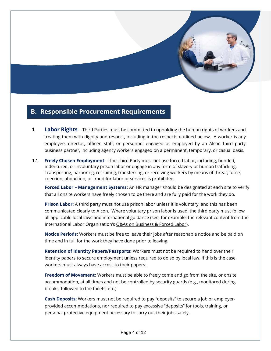

### <span id="page-3-1"></span><span id="page-3-0"></span>**B. Responsible Procurement Requirements**

- **1 Labor Rights –** Third Parties must be committed to upholding the human rights of workers and treating them with dignity and respect, including in the respects outlined below.A worker is any employee, director, officer, staff, or personnel engaged or employed by an Alcon third party business partner, including agency workers engaged on a permanent, temporary, or casual basis.
- **1.1 Freely Chosen Employment** The Third Party must not use forced labor, including, bonded, indentured, or involuntary prison labor or engage in any form of slavery or human trafficking. Transporting, harboring, recruiting, transferring, or receiving workers by means of threat, force, coercion, abduction, or fraud for labor or services is prohibited.

**Forced Labor – Management Systems:** An HR manager should be designated at each site to verify that all onsite workers have freely chosen to be there and are fully paid for the work they do.

**Prison Labor:** A third party must not use prison labor unless it is voluntary, and this has been communicated clearly to Alcon. Where voluntary prison labor is used, the third party must follow all applicable local laws and international guidance (see, for example, the relevant content from the International Labor Organization's [Q&As on Business & Forced Labor\)](https://www.ilo.org/empent/areas/business-helpdesk/faqs/WCMS_DOC_ENT_HLP_FL_FAQ_EN/lang--en/index.htm#Q3).

**Notice Periods:** Workers must be free to leave their jobs after reasonable notice and be paid on time and in full for the work they have done prior to leaving.

**Retention of Identity Papers/Passports:** Workers must not be required to hand over their identity papers to secure employment unless required to do so by local law. If this is the case, workers must always have access to their papers.

**Freedom of Movement:** Workers must be able to freely come and go from the site, or onsite accommodation, at all times and not be controlled by security guards (e.g., monitored during breaks, followed to the toilets, etc.)

**Cash Deposits:** Workers must not be required to pay "deposits" to secure a job or employerprovided accommodations, nor required to pay excessive "deposits" for tools, training, or personal protective equipment necessary to carry out their jobs safely.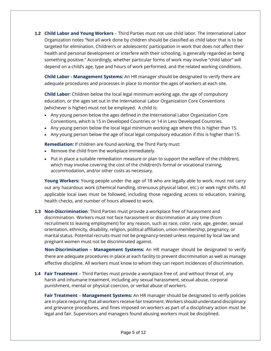**1.2 Child Labor and Young Workers** – Third Parties must not use child labor. The International Labor Organization notes "Not all work done by children should be classified as child labor that is to be targeted for elimination. Children's or adolescents' participation in work that does not affect their health and personal development or interfere with their schooling, is generally regarded as being something positive." Accordingly, whether particular forms of work may involve "child labor" will depend on a child's age, type and hours of work performed, and the related working conditions.

**Child Labor - Management Systems:** An HR manager should be designated to verify there are adequate procedures and processes in place to monitor the ages of workers at each site.

**Child Labor:** Children below the local legal minimum working age, the age of compulsory education, or the ages set out in the International Labor Organization Core Conventions (whichever is higher) must not be employed. A child is:

- Any young person below the ages defined in the International Labor Organization Core Conventions, which is 15 in Developed Countries or 14 in Less Developed Countries.
- Any young person below the local legal minimum working age where this is higher than 15.
- Any young person below the age of local legal compulsory education if this is higher than 15.

**Remediation:** If children are found working, the Third Party must:

- Remove the child from the workplace immediately.
- Put in place a suitable remediation measure or plan to support the welfare of the child(ren), which may involve covering the cost of the child(ren)'s formal or vocational training, accommodation, and/or other costs as necessary.

**Young Workers:** Young people under the age of 18 who are legally able to work, must not carry out any hazardous work (chemical handling, strenuous physical labor, etc.) or work night shifts. All applicable local laws must be followed, including those regarding access to education, training, health checks, and number of hours allowed to work.

#### **1.3 Non-Discrimination**: Third Parties must provide a workplace free of harassment and discrimination. Workers must not face harassment or discrimination at any time (from recruitment to leaving employment) for any reason, such as race, color, race, age, gender, sexual orientation, ethnicity, disability, religion, political affiliation, union membership, pregnancy, or marital status. Potential recruits must not be pregnancy-tested unless required by local law and pregnant women must not be discriminated against.

**Non-Discrimination – Management Systems:** An HR manager should be designated to verify there are adequate procedures in place at each facility to prevent discrimination as well as manage effective discipline. All workers must know to whom they can report incidences of discrimination.

#### **1.4 Fair Treatment** – Third Parties must provide a workplace free of, and without threat of, any harsh and inhumane treatment, including any sexual harassment, sexual abuse, corporal punishment, mental or physical coercion, or verbal abuse of workers.

**Fair Treatment** – **Management Systems:** An HR manager should be designated to verify policies are in place requiring that all workers receive fair treatment. Workers should understand disciplinary and grievance procedures, and fines imposed on workers as part of a disciplinary action must be legal and fair. Supervisors and managers found abusing workers must be disciplined.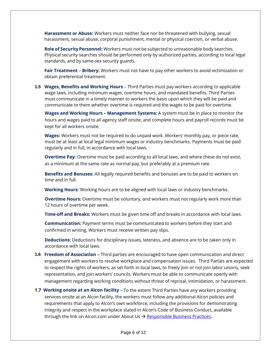**Harassment or Abuse:** Workers must neither face nor be threatened with bullying, sexual harassment, sexual abuse, corporal punishment, mental or physical coercion, or verbal abuse.

**Role of Security Personnel:** Workers must not be subjected to unreasonable body searches. Physical security searches should be performed only by authorized parties, according to local legal standards, and by same-sex security guards.

**Fair Treatment** – **Bribery:** Workers must not have to pay other workers to avoid victimization or obtain preferential treatment.

**1.5 Wages, Benefits and Working Hours** – Third Parties must pay workers according to applicable wage laws, including minimum wages, overtime hours, and mandated benefits. Third Parties must communicate in a timely manner to workers the basis upon which they will be paid and communicate to them whether overtime is required and the wages to be paid for overtime.

**Wages and Working Hours – Management Systems:** A system must be in place to monitor the hours and wages paid to all agency staff onsite, and complete hours and payroll records must be kept for all workers onsite.

**Wages:** Workers must not be required to do unpaid work. Workers' monthly pay, or piece rate, must be at least at local legal minimum wages or industry benchmarks. Payments must be paid regularly and in full, in accordance with local laws.

**Overtime Pay:** Overtime must be paid according to all local laws, and where these do not exist, as a minimum at the same rate as normal pay, but preferably at a premium rate.

**Benefits and Bonuses:** All legally required benefits and bonuses are to be paid to workers on time and in full.

**Working Hours:** Working hours are to be aligned with local laws or industry benchmarks.

**Overtime Hours:** Overtime must be voluntary, and workers must not regularly work more than 12 hours of overtime per week.

**Time-off and Breaks:** Workers must be given time off and breaks in accordance with local laws.

**Communication:** Payment terms must be communicated to workers before they start and confirmed in writing. Workers must receive written pay slips.

**Deductions:** Deductions for disciplinary issues, lateness, and absence are to be taken only in accordance with local laws.

- **1.6 Freedom of Association –** Third parties are encouraged to have open communication and direct engagement with workers to resolve workplace and compensation issues. Third Parties are expected to respect the rights of workers, as set forth in local laws, to freely join or not join labor unions, seek representation, and join workers' councils. Workers must be able to communicate openly with management regarding working conditions without threat of reprisal, intimidation, or harassment.
- **1.7 Working onsite at an Alcon facility**  To the extent Third Parties have any workers providing services onsite at an Alcon facility, the workers must follow any additional Alcon policies and requirements that apply to Alcon's own workforce, including the provisions for demonstrating integrity and respect in the workplace stated in Alcon's Code of Business Conduct, available through the link on Alcon.com under About Us  $\rightarrow$  [Responsible Business Practices.](https://www.alcon.com/about-us/responsible-business-practice)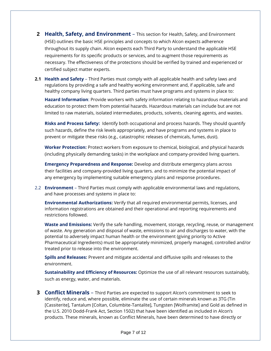- **2 Health, Safety, and Environment** This section for Health, Safety, and Environment (HSE) outlines the basic HSE principles and concepts to which Alcon expects adherence throughout its supply chain. Alcon expects each Third Party to understand the applicable HSE requirements for its specific products or services, and to augment those requirements as necessary. The effectiveness of the protections should be verified by trained and experienced or certified subject matter experts.
- **2.1 Health and Safety** Third Parties must comply with all applicable health and safety laws and regulations by providing a safe and healthy working environment and, if applicable, safe and healthy company living quarters. Third parties must have programs and systems in place to:

**Hazard Information**: Provide workers with safety information relating to hazardous materials and education to protect them from potential hazards. Hazardous materials can include but are not limited to raw materials, isolated intermediates, products, solvents, cleaning agents, and wastes.

**Risks and Process Safety:** Identify both occupational and process hazards. They should quantify such hazards, define the risk levels appropriately, and have programs and systems in place to prevent or mitigate these risks (e.g., catastrophic releases of chemicals, fumes, dust).

**Worker Protection:** Protect workers from exposure to chemical, biological, and physical hazards (including physically demanding tasks) in the workplace and company-provided living quarters.

**Emergency Preparedness and Response:** Develop and distribute emergency plans across their facilities and company-provided living quarters. and to minimize the potential impact of any emergency by implementing suitable emergency plans and response procedures.

2.2 **Environment** – Third Parties must comply with applicable environmental laws and regulations, and have processes and systems in place to:

**Environmental Authorizations:** Verify that all required environmental permits, licenses, and information registrations are obtained and their operational and reporting requirements and restrictions followed.

**Waste and Emissions:** Verify the safe handling, movement, storage, recycling, reuse, or management of waste. Any generation and disposal of waste, emissions to air and discharges to water, with the potential to adversely impact human health or the environment (giving priority to Active Pharmaceutical Ingredients) must be appropriately minimized, properly managed, controlled and/or treated prior to release into the environment.

**Spills and Releases:** Prevent and mitigate accidental and diffusive spills and releases to the environment.

**Sustainability and Efficiency of Resources:** Optimize the use of all relevant resources sustainably, such as energy, water, and materials.

**3 Conflict Minerals** – Third Parties are expected to support Alcon's commitment to seek to identify, reduce and, where possible, eliminate the use of certain minerals known as 3TG (Tin [Cassiterite], Tantalum [Coltan, Columbite-Tantalite], Tungsten [Wolframite] and Gold as defined in the U.S. 2010 Dodd-Frank Act, Section 1502) that have been identified as included in Alcon's products. These minerals, known as Conflict Minerals, have been determined to have directly or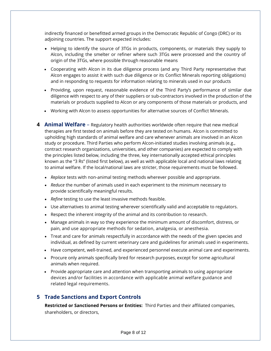indirectly financed or benefitted armed groups in the Democratic Republic of Congo (DRC) or its adjoining countries. The support expected includes:

- Helping to identify the source of 3TGs in products, components, or materials they supply to Alcon, including the smelter or refiner where such 3TGs were processed and the country of origin of the 3TGs, where possible through reasonable means
- Cooperating with Alcon in its due diligence process (and any Third Party representative that Alcon engages to assist it with such due diligence or its Conflict Minerals reporting obligations) and in responding to requests for information relating to minerals used in our products
- Providing, upon request, reasonable evidence of the Third Party's performance of similar due diligence with respect to any of their suppliers or sub-contractors involved in the production of the materials or products supplied to Alcon or any components of those materials or products, and
- Working with Alcon to assess opportunities for alternative sources of Conflict Minerals.
- <span id="page-7-0"></span>**4 Animal Welfare** – Regulatory health authorities worldwide often require that new medical therapies are first tested on animals before they are tested on humans. Alcon is committed to upholding high standards of animal welfare and care whenever animals are involved in an Alcon study or procedure. Third Parties who perform Alcon-initiated studies involving animals (e.g., contract research organizations, universities, and other companies) are expected to comply with the principles listed below, including the three, key internationally accepted ethical principles known as the "3 Rs" (listed first below), as well as with applicable local and national laws relating to animal welfare. If the local/national laws are stricter, those requirements must be followed.
	- *Replace* tests with non-animal testing methods wherever possible and appropriate.
	- *Reduce* the number of animals used in each experiment to the minimum necessary to provide scientifically meaningful results.
	- *Refine* testing to use the least invasive methods feasible.
	- Use alternatives to animal testing wherever scientifically valid and acceptable to regulators.
	- Respect the inherent integrity of the animal and its contribution to research.
	- Manage animals in way so they experience the minimum amount of discomfort, distress, or pain, and use appropriate methods for sedation, analgesia, or anesthesia.
	- Treat and care for animals respectfully in accordance with the needs of the given species and individual, as defined by current veterinary care and guidelines for animals used in experiments.
	- Have competent, well-trained, and experienced personnel execute animal care and experiments.
	- Procure only animals specifically bred for research purposes, except for some agricultural animals when required.
	- Provide appropriate care and attention when transporting animals to using appropriate devices and/or facilities in accordance with applicable animal welfare guidance and related legal requirements.

#### **5 Trade Sanctions and Export Controls**

**Restricted or Sanctioned Persons or Entities:** Third Parties and their affiliated companies, shareholders, or directors,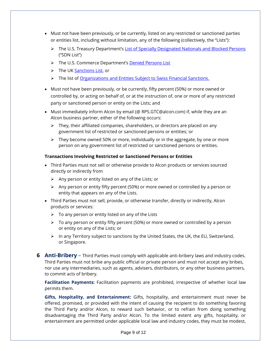- Must not have been previously, or be currently, listed on any restricted or sanctioned parties or entities list, including without limitation, any of the following (collectively, the "Lists"):
	- ➢ The U.S. Treasury Department's [List of Specially Designated Nationals and Blocked Persons](https://home.treasury.gov/policy-issues/financial-sanctions/specially-designated-nationals-and-blocked-persons-list-sdn-human-readable-lists) ("SDN List")
	- ➢ The U.S. Commerce Department's [Denied Persons List](https://www.bis.doc.gov/index.php/policy-guidance/lists-of-parties-of-concern/denied-persons-list)
	- ➢ The UK [Sanctions List,](https://www.gov.uk/government/publications/the-uk-sanctions-list) or
	- ➢ The list of [Organizations and Entities Subject to Swiss Financial Sanctions.](https://www.seco.admin.ch/seco/en/home/Aussenwirtschaftspolitik_Wirtschaftliche_Zusammenarbeit/Wirtschaftsbeziehungen/exportkontrollen-und-sanktionen/sanktionen-embargos.html)
- Must not have been previously, or be currently, fifty percent (50%) or more owned or controlled by, or acting on behalf of, or at the instruction of, one or more of any restricted party or sanctioned person or entity on the Lists; and
- Must immediately inform Alcon by email ([@ RPS.GTC@alcon.com\)](mailto:RPS.GTC@alcon.com) if, while they are an Alcon business partner, either of the following occurs:
	- $\triangleright$  They, their affiliated companies, shareholders, or directors are placed on any government list of restricted or sanctioned persons or entities; or
	- $\triangleright$  They become owned 50% or more, individually or in the aggregate, by one or more person on any government list of restricted or sanctioned persons or entities.

#### **Transactions Involving Restricted or Sanctioned Persons or Entities**

- Third Parties must not sell or otherwise provide to Alcon products or services sourced directly or indirectly from
	- $\triangleright$  Any person or entity listed on any of the Lists; or
	- $\triangleright$  Any person or entity fifty percent (50%) or more owned or controlled by a person or entity that appears on any of the Lists.
- Third Parties must not sell, provide, or otherwise transfer, directly or indirectly, Alcon products or services:
	- $\triangleright$  To any person or entity listed on any of the Lists
	- $\triangleright$  To any person or entity fifty percent (50%) or more owned or controlled by a person or entity on any of the Lists; or
	- $\triangleright$  In any Territory subject to sanctions by the United States, the UK, the EU, Switzerland, or Singapore.
- <span id="page-8-0"></span>**6 Anti-Bribery** – Third Parties must comply with applicable anti-bribery laws and industry codes. Third Parties must not bribe any public official or private person and must not accept any bribes, nor use any intermediaries, such as agents, advisers, distributors, or any other business partners, to commit acts of bribery.

**Facilitation Payments:** Facilitation payments are prohibited, irrespective of whether local law permits them.

**Gifts, Hospitality, and Entertainment:** Gifts, hospitality, and entertainment must never be offered, promised, or provided with the intent of causing the recipient to do something favoring the Third Party and/or Alcon, to reward such behavior, or to refrain from doing something disadvantaging the Third Party and/or Alcon. To the limited extent any gifts, hospitality, or entertainment are permitted under applicable local law and industry codes, they must be modest,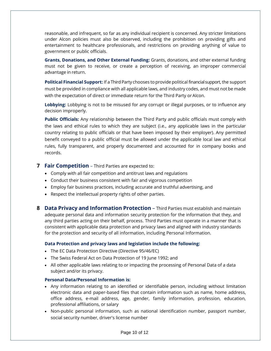reasonable, and infrequent, so far as any individual recipient is concerned. Any stricter limitations under Alcon policies must also be observed, including the prohibition on providing gifts and entertainment to healthcare professionals, and restrictions on providing anything of value to government or public officials.

**Grants, Donations, and Other External Funding:** Grants, donations, and other external funding must not be given to receive, or create a perception of receiving, an improper commercial advantage in return.

**Political Financial Support:** If a Third Party chooses to provide political financial support, the support must be provided in compliance with all applicable laws, and industry codes, and must not be made with the expectation of direct or immediate return for the Third Party or Alcon.

**Lobbying:** Lobbying is not to be misused for any corrupt or illegal purposes, or to influence any decision improperly.

**Public Officials:** Any relationship between the Third Party and public officials must comply with the laws and ethical rules to which they are subject (i.e., any applicable laws in the particular country relating to public officials or that have been imposed by their employer). Any permitted benefit conveyed to a public official must be allowed under the applicable local law and ethical rules, fully transparent, and properly documented and accounted for in company books and records.

#### **7 Fair Competition** – Third Parties are expected to:

- Comply with all fair competition and antitrust laws and regulations
- Conduct their business consistent with fair and vigorous competition
- Employ fair business practices, including accurate and truthful advertising, and
- Respect the intellectual property rights of other parties.
- <span id="page-9-0"></span>**8 Data Privacy and Information Protection** – Third Parties must establish and maintain adequate personal data and information security protection for the information that they, and any third parties acting on their behalf, process. Third Parties must operate in a manner that is consistent with applicable data protection and privacy laws and aligned with industry standards for the protection and security of all information, including Personal Information.

#### **Data Protection and privacy laws and legislation include the following:**

- The EC Data Protection Directive (Directive 95/46/EC)
- The Swiss Federal Act on Data Protection of 19 June 1992; and
- All other applicable laws relating to or impacting the processing of Personal Data of a data subject and/or its privacy.

#### **Personal Data/Personal Information is:**

- Any information relating to an identified or identifiable person, including without limitation electronic data and paper-based files that contain information such as name, home address, office address, e-mail address, age, gender, family information, profession, education, professional affiliations, or salary
- Non-public personal information, such as national identification number, passport number, social security number, driver's license number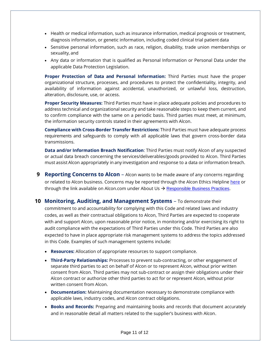- Health or medical information, such as insurance information, medical prognosis or treatment, diagnosis information, or genetic information, including coded clinical trial patient data
- Sensitive personal information, such as race, religion, disability, trade union memberships or sexuality, and
- Any data or information that is qualified as Personal Information or Personal Data under the applicable Data Protection Legislation.

**Proper Protection of Data and Personal Information:** Third Parties must have the proper organizational structure, processes, and procedures to protect the confidentiality, integrity, and availability of information against accidental, unauthorized, or unlawful loss, destruction, alteration, disclosure, use, or access.

**Proper Security Measures:** Third Parties must have in place adequate policies and procedures to address technical and organizational security and take reasonable steps to keep them current, and to confirm compliance with the same on a periodic basis. Third parties must meet, at minimum, the information security controls stated in their agreements with Alcon.

**Compliance with Cross-Border Transfer Restrictions:** Third Parties must have adequate process requirements and safeguards to comply with all applicable laws that govern cross-border data transmissions.

**Data and/or Information Breach Notification**: Third Parties must notify Alcon of any suspected or actual data breach concerning the services/deliverables/goods provided to Alcon. Third Parties must assist Alcon appropriately in any investigation and response to a data or information breach.

- <span id="page-10-0"></span>**9 Reporting Concerns to Alcon** – Alcon wants to be made aware of any concerns regarding or related to Alcon business. Concerns may be reported through the Alcon Ethics Helplin[e here](https://nam12.safelinks.protection.outlook.com/?url=https%3A%2F%2Fsecure.ethicspoint.com%2Fdomain%2Fmedia%2Fen%2Fgui%2F60479%2F&data=05%7C01%7Canne.norris%40Alcon.com%7Cf2bb0b5ab5854443e5a108da3462647e%7C34cd94b5d86c447f8d9b81b4ff94d329%7C0%7C0%7C637879894451788566%7CUnknown%7CTWFpbGZsb3d8eyJWIjoiMC4wLjAwMDAiLCJQIjoiV2luMzIiLCJBTiI6Ik1haWwiLCJXVCI6Mn0%3D%7C3000%7C%7C%7C&sdata=67y5BdwHg3YgR%2FFrr6kflXOOQMqzQjkReZiWhOdYUu4%3D&reserved=0) or through the link available on Alcon.com under About Us  $\rightarrow$  [Responsible Business Practices](https://www.alcon.com/about-us/responsible-business-practice).
- <span id="page-10-1"></span>**10 Monitoring, Auditing, and Management Systems** – To demonstrate their

commitment to and accountability for complying with this Code and related laws and industry codes, as well as their contractual obligations to Alcon, Third Parties are expected to cooperate with and support Alcon, upon reasonable prior notice, in monitoring and/or exercising its right to audit compliance with the expectations of Third Parties under this Code. Third Parties are also expected to have in place appropriate risk management systems to address the topics addressed in this Code. Examples of such management systems include:

- **Resources:** Allocation of appropriate resources to support compliance.
- **Third-Party Relationships:** Processes to prevent sub-contracting, or other engagement of separate third parties to act on behalf of Alcon or to represent Alcon, without prior written consent from Alcon. Third parties may not sub-contract or assign their obligations under their Alcon contract or authorize other third parties to act for or represent Alcon, without prior written consent from Alcon.
- **Documentation:** Maintaining documentation necessary to demonstrate compliance with applicable laws, industry codes, and Alcon contract obligations.
- **Books and Records:** Preparing and maintaining books and records that document accurately and in reasonable detail all matters related to the supplier's business with Alcon.